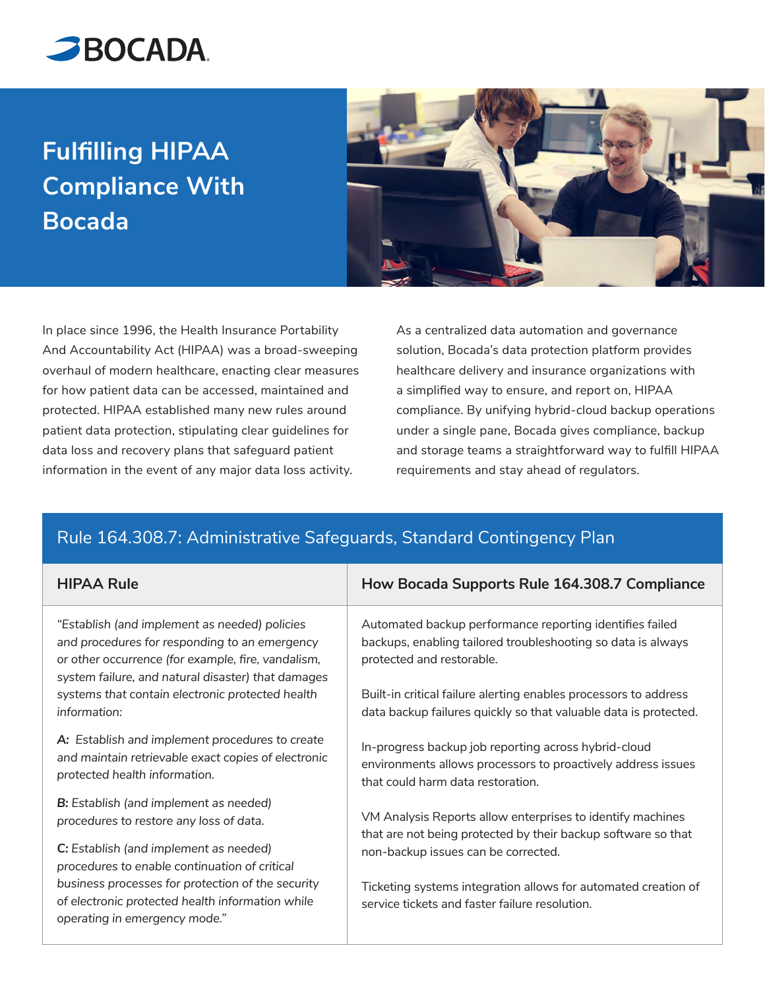

## **Fulfilling HIPAA Compliance With Bocada**



In place since 1996, the Health Insurance Portability And Accountability Act (HIPAA) was a broad-sweeping overhaul of modern healthcare, enacting clear measures for how patient data can be accessed, maintained and protected. HIPAA established many new rules around patient data protection, stipulating clear guidelines for data loss and recovery plans that safeguard patient information in the event of any major data loss activity.

As a centralized data automation and governance solution, Bocada's data protection platform provides healthcare delivery and insurance organizations with a simplified way to ensure, and report on, HIPAA compliance. By unifying hybrid-cloud backup operations under a single pane, Bocada gives compliance, backup and storage teams a straightforward way to fulfill HIPAA requirements and stay ahead of regulators.

## Rule 164.308.7: Administrative Safeguards, Standard Contingency Plan

| <b>HIPAA Rule</b>                                                                                                                                                                                          | How Bocada Supports Rule 164.308.7 Compliance                                                                                                             |
|------------------------------------------------------------------------------------------------------------------------------------------------------------------------------------------------------------|-----------------------------------------------------------------------------------------------------------------------------------------------------------|
| "Establish (and implement as needed) policies<br>and procedures for responding to an emergency<br>or other occurrence (for example, fire, vandalism,<br>system failure, and natural disaster) that damages | Automated backup performance reporting identifies failed<br>backups, enabling tailored troubleshooting so data is always<br>protected and restorable.     |
| systems that contain electronic protected health<br>information:                                                                                                                                           | Built-in critical failure alerting enables processors to address<br>data backup failures quickly so that valuable data is protected.                      |
| A: Establish and implement procedures to create<br>and maintain retrievable exact copies of electronic<br>protected health information.                                                                    | In-progress backup job reporting across hybrid-cloud<br>environments allows processors to proactively address issues<br>that could harm data restoration. |
| <b>B:</b> Establish (and implement as needed)<br>procedures to restore any loss of data.                                                                                                                   | VM Analysis Reports allow enterprises to identify machines<br>that are not being protected by their backup software so that                               |
| C: Establish (and implement as needed)<br>procedures to enable continuation of critical                                                                                                                    | non-backup issues can be corrected.                                                                                                                       |
| business processes for protection of the security<br>of electronic protected health information while<br>operating in emergency mode."                                                                     | Ticketing systems integration allows for automated creation of<br>service tickets and faster failure resolution                                           |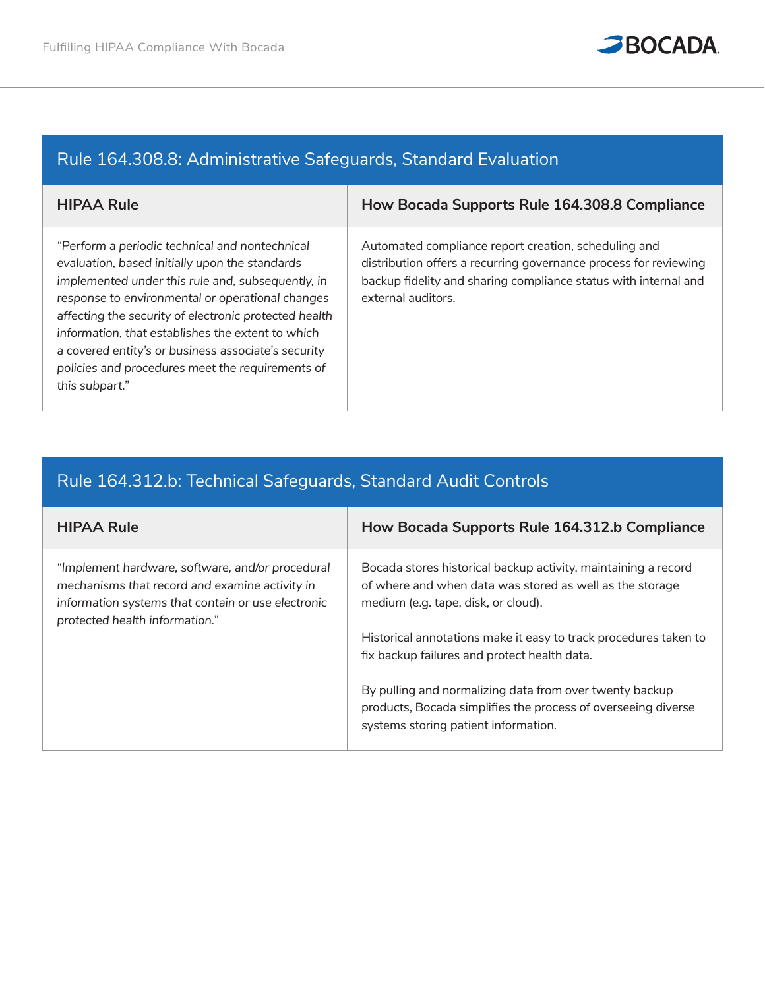

## Rule 164.308.8: Administrative Safeguards, Standard Evaluation

| <b>HIPAA Rule</b>                                                                                                                                                                                                                                                                                                                                                                                                                                    | How Bocada Supports Rule 164.308.8 Compliance                                                                                                                                                                     |
|------------------------------------------------------------------------------------------------------------------------------------------------------------------------------------------------------------------------------------------------------------------------------------------------------------------------------------------------------------------------------------------------------------------------------------------------------|-------------------------------------------------------------------------------------------------------------------------------------------------------------------------------------------------------------------|
| "Perform a periodic technical and nontechnical<br>evaluation, based initially upon the standards<br>implemented under this rule and, subsequently, in<br>response to environmental or operational changes<br>affecting the security of electronic protected health<br>information, that establishes the extent to which<br>a covered entity's or business associate's security<br>policies and procedures meet the requirements of<br>this subpart." | Automated compliance report creation, scheduling and<br>distribution offers a recurring governance process for reviewing<br>backup fidelity and sharing compliance status with internal and<br>external auditors. |

## Rule 164.312.b: Technical Safeguards, Standard Audit Controls

| <b>HIPAA Rule</b>                                                                                                                                                                          | How Bocada Supports Rule 164.312.b Compliance                                                                                                                     |
|--------------------------------------------------------------------------------------------------------------------------------------------------------------------------------------------|-------------------------------------------------------------------------------------------------------------------------------------------------------------------|
| "Implement hardware, software, and/or procedural<br>mechanisms that record and examine activity in<br>information systems that contain or use electronic<br>protected health information." | Bocada stores historical backup activity, maintaining a record<br>of where and when data was stored as well as the storage<br>medium (e.g. tape, disk, or cloud). |
|                                                                                                                                                                                            | Historical annotations make it easy to track procedures taken to<br>fix backup failures and protect health data.                                                  |
|                                                                                                                                                                                            | By pulling and normalizing data from over twenty backup<br>products, Bocada simplifies the process of overseeing diverse<br>systems storing patient information.  |